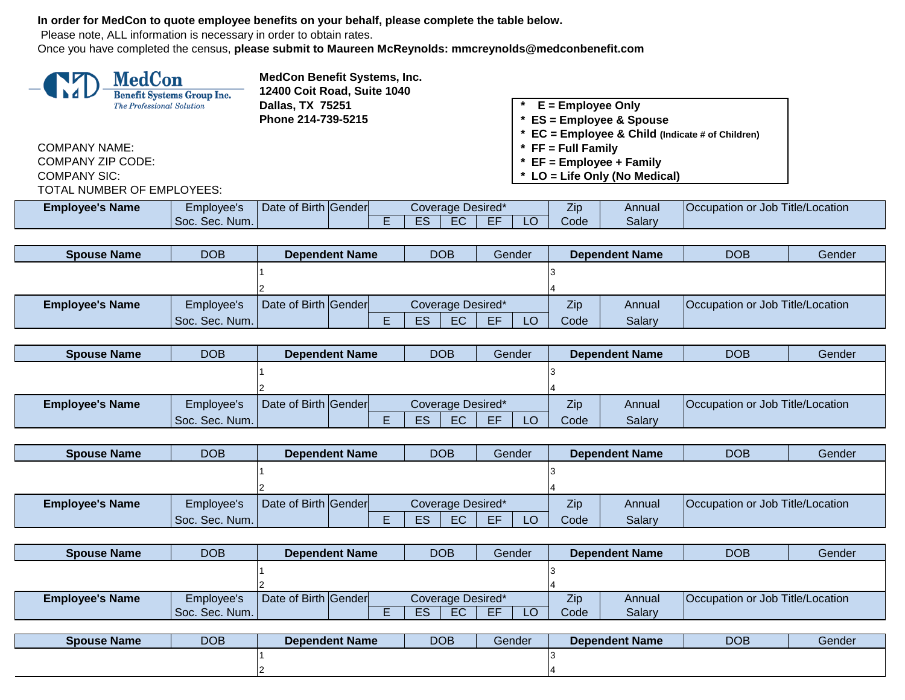**In order for MedCon to quote employee benefits on your behalf, please complete the table below.**

Please note, ALL information is necessary in order to obtain rates.

Once you have completed the census, **please submit to Maureen McReynolds: mmcreynolds@medconbenefit.com**



**MedCon Benefit Systems, Inc. 12400 Coit Road, Suite 1040 Dallas, TX 75251**<br> **Phone 214-739-5215**<br> **Phone 214-739-5215**<br> **ES = Employee & Specifically** 

COMPANY NAME: **\* FF = Full Family** COMPANY ZIP CODE: **\* EF = Employee + Family** TOTAL NUMBER OF EMPLOYEES:

**Phone 214-739-5215 \* ES = Employee & Spouse**

- **\* EC = Employee & Child (Indicate # of Children)**
- 
- 
- COMPANY SIC: **\* LO = Life Only (No Medical)**

| <b>Employee's Name</b> | cmployee's     | Date of Birth Gender |                         | Coverage Desired* |     | $-1$<br>Zip: | Annual | or Job Title/Location<br><b>Occupation</b> |
|------------------------|----------------|----------------------|-------------------------|-------------------|-----|--------------|--------|--------------------------------------------|
|                        | Soc. Sec. Num. |                      | $ \sim$<br>$-$<br>$  -$ | $\Gamma$<br>.     | --- | Code         | Salary |                                            |

| <b>Spouse Name</b>     | <b>DOB</b>     |                      |  | <b>Dependent Name</b> |    | <b>DOB</b>        |    | Gender |      | <b>Dependent Name</b> | <b>DOB</b>                              | <b>Gender</b> |
|------------------------|----------------|----------------------|--|-----------------------|----|-------------------|----|--------|------|-----------------------|-----------------------------------------|---------------|
|                        |                |                      |  |                       |    |                   |    |        |      |                       |                                         |               |
|                        |                |                      |  |                       |    |                   |    |        |      |                       |                                         |               |
| <b>Employee's Name</b> | Employee's     | Date of Birth Gender |  |                       |    | Coverage Desired* |    |        | Zip  | Annual                | <b>Occupation or Job Title/Location</b> |               |
|                        | Soc. Sec. Num. |                      |  |                       | ES | EC                | EF | LO     | Code | Salary                |                                         |               |

| <b>Spouse Name</b>     | <b>DOB</b>     | <b>Dependent Name</b> |  |  |                 | <b>DOB</b>        |    | Gender |      | <b>Dependent Name</b> | <b>DOB</b>                       | Gender |
|------------------------|----------------|-----------------------|--|--|-----------------|-------------------|----|--------|------|-----------------------|----------------------------------|--------|
|                        |                |                       |  |  |                 |                   |    |        |      |                       |                                  |        |
|                        |                |                       |  |  |                 |                   |    |        |      |                       |                                  |        |
| <b>Employee's Name</b> | Employee's     | Date of Birth Gender  |  |  |                 | Coverage Desired* |    |        | Zip  | Annual                | Occupation or Job Title/Location |        |
|                        | Soc. Sec. Num. |                       |  |  | ES <sup>-</sup> | EC                | EE | $\cap$ | Code | Salary                |                                  |        |

| <b>Spouse Name</b>     | <b>DOB</b>     | <b>Dependent Name</b> |  |     | <b>DOB</b>        |    | Gender | <b>Dependent Name</b> |        | <b>DOB</b>                       | Gender |
|------------------------|----------------|-----------------------|--|-----|-------------------|----|--------|-----------------------|--------|----------------------------------|--------|
|                        |                |                       |  |     |                   |    |        |                       |        |                                  |        |
|                        |                |                       |  |     |                   |    |        |                       |        |                                  |        |
| <b>Employee's Name</b> | Employee's     | Date of Birth Gender  |  |     | Coverage Desired* |    |        | Zip                   | Annual | Occupation or Job Title/Location |        |
|                        | Soc. Sec. Num. |                       |  | ES. | EC <sup>1</sup>   | EE | LO     | Code                  | Salary |                                  |        |

| <b>Spouse Name</b>     | <b>DOB</b>     | <b>Dependent Name</b> |  |     | <b>DOB</b>        |     | Gender | <b>Dependent Name</b> |        | <b>DOB</b>                              | Gender |
|------------------------|----------------|-----------------------|--|-----|-------------------|-----|--------|-----------------------|--------|-----------------------------------------|--------|
|                        |                |                       |  |     |                   |     |        |                       |        |                                         |        |
|                        |                |                       |  |     |                   |     |        |                       |        |                                         |        |
| <b>Employee's Name</b> | Employee's     | Date of Birth Gender  |  |     | Coverage Desired* |     |        | Zip                   | Annual | <b>Occupation or Job Title/Location</b> |        |
|                        | Soc. Sec. Num. |                       |  | ES. | EC.               | EE. | -O     | Code                  | Salary |                                         |        |

| <b>Spouse Name</b> | <b>DOB</b> | <b>Dependent Name</b> | <b>DOB</b> | Gender | <b>Dependent Name</b> | <b>DOB</b> | Gender |
|--------------------|------------|-----------------------|------------|--------|-----------------------|------------|--------|
|                    |            |                       |            |        |                       |            |        |
|                    |            |                       |            |        |                       |            |        |